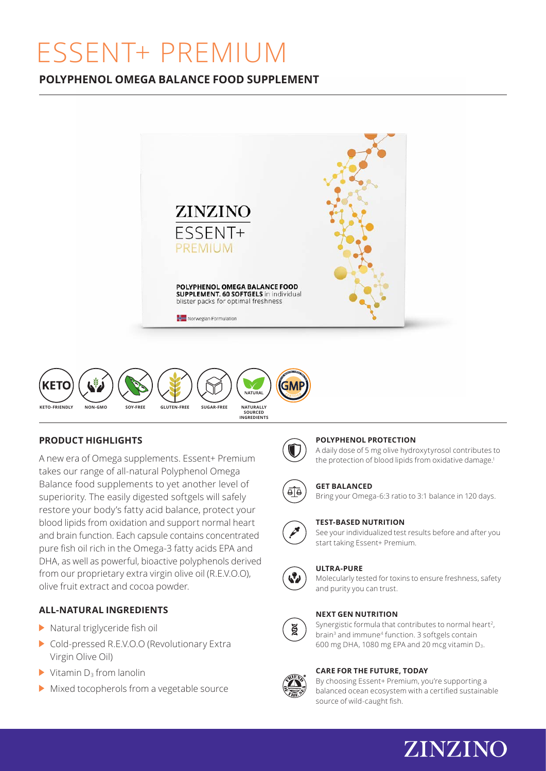# ESSENT+ PREMIUM

# **POLYPHENOL OMEGA BALANCE FOOD SUPPLEMENT**





# **PRODUCT HIGHLIGHTS**

A new era of Omega supplements. Essent+ Premium takes our range of all-natural Polyphenol Omega Balance food supplements to yet another level of superiority. The easily digested softgels will safely restore your body's fatty acid balance, protect your blood lipids from oxidation and support normal heart and brain function. Each capsule contains concentrated pure fish oil rich in the Omega-3 fatty acids EPA and DHA, as well as powerful, bioactive polyphenols derived from our proprietary extra virgin olive oil (R.E.V.O.O), olive fruit extract and cocoa powder.

## **ALL-NATURAL INGREDIENTS**

- $\blacktriangleright$  Natural triglyceride fish oil
- Cold-pressed R.E.V.O.O (Revolutionary Extra Virgin Olive Oil)
- $\blacktriangleright$  Vitamin D<sub>3</sub> from lanolin
- Mixed tocopherols from a vegetable source

#### **POLYPHENOL PROTECTION**

A daily dose of 5 mg olive hydroxytyrosol contributes to the protection of blood lipids from oxidative damage.<sup>1</sup>



#### **GET BALANCED**

Bring your Omega-6:3 ratio to 3:1 balance in 120 days.



#### **TEST-BASED NUTRITION**

See your individualized test results before and after you start taking Essent+ Premium.



#### **ULTRA-PURE**

Molecularly tested for toxins to ensure freshness, safety and purity you can trust.

#### **NEXT GEN NUTRITION**

ğ

Synergistic formula that contributes to normal heart<sup>2</sup>, brain<sup>3</sup> and immune<sup>4</sup> function. 3 softgels contain 600 mg DHA, 1080 mg EPA and 20 mcg vitamin D3.

#### **CARE FOR THE FUTURE, TODAY**



By choosing Essent+ Premium, you're supporting a balanced ocean ecosystem with a certified sustainable source of wild-caught fish.

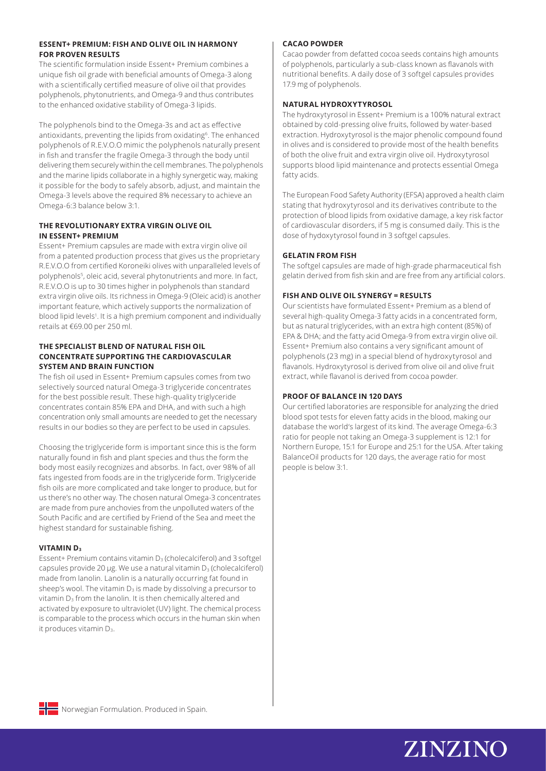#### **ESSENT+ PREMIUM: FISH AND OLIVE OIL IN HARMONY FOR PROVEN RESULTS**

The scientific formulation inside Essent+ Premium combines a unique fish oil grade with beneficial amounts of Omega-3 along with a scientifically certified measure of olive oil that provides polyphenols, phytonutrients, and Omega-9 and thus contributes to the enhanced oxidative stability of Omega-3 lipids.

The polyphenols bind to the Omega-3s and act as effective antioxidants, preventing the lipids from oxidating<sup>6</sup>. The enhanced polyphenols of R.E.V.O.O mimic the polyphenols naturally present in fish and transfer the fragile Omega-3 through the body until delivering them securely within the cell membranes. The polyphenols and the marine lipids collaborate in a highly synergetic way, making it possible for the body to safely absorb, adjust, and maintain the Omega-3 levels above the required 8% necessary to achieve an Omega-6:3 balance below 3:1.

#### **THE REVOLUTIONARY EXTRA VIRGIN OLIVE OIL IN ESSENT+ PREMIUM**

Essent+ Premium capsules are made with extra virgin olive oil from a patented production process that gives us the proprietary R.E.V.O.O from certified Koroneiki olives with unparalleled levels of polyphenols<sup>5</sup>, oleic acid, several phytonutrients and more. In fact, R.E.V.O.O is up to 30 times higher in polyphenols than standard extra virgin olive oils. Its richness in Omega-9 (Oleic acid) is another important feature, which actively supports the normalization of blood lipid levels<sup>1</sup>. It is a high premium component and individually retails at €69.00 per 250 ml.

#### **THE SPECIALIST BLEND OF NATURAL FISH OIL CONCENTRATE SUPPORTING THE CARDIOVASCULAR SYSTEM AND BRAIN FUNCTION**

The fish oil used in Essent+ Premium capsules comes from two selectively sourced natural Omega-3 triglyceride concentrates for the best possible result. These high-quality triglyceride concentrates contain 85% EPA and DHA, and with such a high concentration only small amounts are needed to get the necessary results in our bodies so they are perfect to be used in capsules.

Choosing the triglyceride form is important since this is the form naturally found in fish and plant species and thus the form the body most easily recognizes and absorbs. In fact, over 98% of all fats ingested from foods are in the triglyceride form. Triglyceride fish oils are more complicated and take longer to produce, but for us there's no other way. The chosen natural Omega-3 concentrates are made from pure anchovies from the unpolluted waters of the South Pacific and are certified by Friend of the Sea and meet the highest standard for sustainable fishing.

#### **VITAMIN D3**

Essent+ Premium contains vitamin  $D_3$  (cholecalciferol) and 3 softgel capsules provide 20 µg. We use a natural vitamin  $D_3$  (cholecalciferol) made from lanolin. Lanolin is a naturally occurring fat found in sheep's wool. The vitamin  $D_3$  is made by dissolving a precursor to vitamin D<sub>3</sub> from the lanolin. It is then chemically altered and activated by exposure to ultraviolet (UV) light. The chemical process is comparable to the process which occurs in the human skin when it produces vitamin D<sub>3</sub>.

#### **CACAO POWDER**

Cacao powder from defatted cocoa seeds contains high amounts of polyphenols, particularly a sub-class known as flavanols with nutritional benefits. A daily dose of 3 softgel capsules provides 17.9 mg of polyphenols.

#### **NATURAL HYDROXYTYROSOL**

The hydroxytyrosol in Essent+ Premium is a 100% natural extract obtained by cold-pressing olive fruits, followed by water-based extraction. Hydroxytyrosol is the major phenolic compound found in olives and is considered to provide most of the health benefits of both the olive fruit and extra virgin olive oil. Hydroxytyrosol supports blood lipid maintenance and protects essential Omega fatty acids.

The European Food Safety Authority (EFSA) approved a health claim stating that hydroxytyrosol and its derivatives contribute to the protection of blood lipids from oxidative damage, a key risk factor of cardiovascular disorders, if 5 mg is consumed daily. This is the dose of hydoxytyrosol found in 3 softgel capsules.

#### **GELATIN FROM FISH**

The softgel capsules are made of high-grade pharmaceutical fish gelatin derived from fish skin and are free from any artificial colors.

#### **FISH AND OLIVE OIL SYNERGY = RESULTS**

Our scientists have formulated Essent+ Premium as a blend of several high-quality Omega-3 fatty acids in a concentrated form, but as natural triglycerides, with an extra high content (85%) of EPA & DHA; and the fatty acid Omega-9 from extra virgin olive oil. Essent+ Premium also contains a very significant amount of polyphenols (23 mg) in a special blend of hydroxytyrosol and flavanols. Hydroxytyrosol is derived from olive oil and olive fruit extract, while flavanol is derived from cocoa powder.

#### **PROOF OF BALANCE IN 120 DAYS**

Our certified laboratories are responsible for analyzing the dried blood spot tests for eleven fatty acids in the blood, making our database the world's largest of its kind. The average Omega-6:3 ratio for people not taking an Omega-3 supplement is 12:1 for Northern Europe, 15:1 for Europe and 25:1 for the USA. After taking BalanceOil products for 120 days, the average ratio for most people is below 3:1.



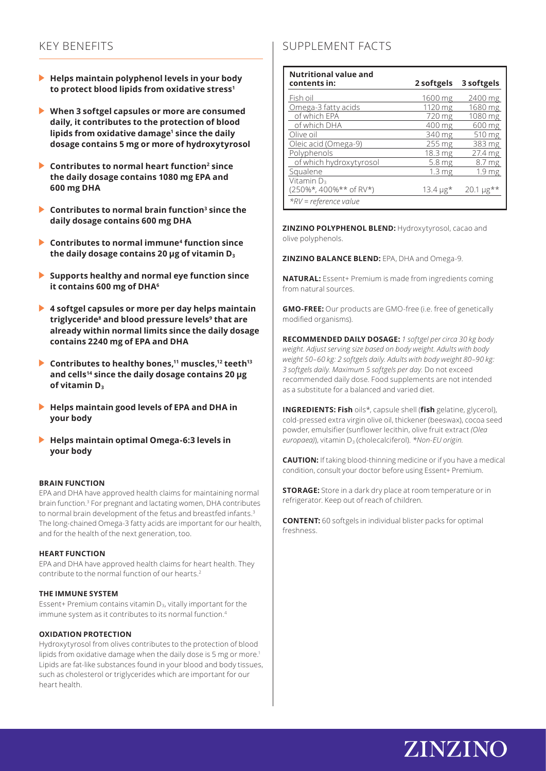# KEY BENEFITS

- **Helps maintain polyphenol levels in your body to protect blood lipids from oxidative stress1**
- **When 3 softgel capsules or more are consumed daily, it contributes to the protection of blood lipids from oxidative damage1 since the daily dosage contains 5 mg or more of hydroxytyrosol**
- **►** Contributes to normal heart function<sup>2</sup> since **the daily dosage contains 1080 mg EPA and 600 mg DHA**
- **Contributes to normal brain function<sup>3</sup> since the daily dosage contains 600 mg DHA**
- **Contributes to normal immune4 function since the daily dosage contains 20 µg of vitamin D3**
- **Supports healthy and normal eye function since it contains 600 mg of DHA6**
- **4 softgel capsules or more per day helps maintain triglyceride8 and blood pressure levels9 that are already within normal limits since the daily dosage contains 2240 mg of EPA and DHA**
- ▶ Contributes to healthy bones,<sup>11</sup> muscles,<sup>12</sup> teeth<sup>13</sup> **and cells14 since the daily dosage contains 20 μg of vitamin D3**
- **Helps maintain good levels of EPA and DHA in your body**
- **Helps maintain optimal Omega-6:3 levels in your body**

#### **BRAIN FUNCTION**

EPA and DHA have approved health claims for maintaining normal brain function.3 For pregnant and lactating women, DHA contributes to normal brain development of the fetus and breastfed infants.<sup>3</sup> The long-chained Omega-3 fatty acids are important for our health, and for the health of the next generation, too.

#### **HEART FUNCTION**

EPA and DHA have approved health claims for heart health. They contribute to the normal function of our hearts.2

#### **THE IMMUNE SYSTEM**

Essent+ Premium contains vitamin  $D_3$ , vitally important for the immune system as it contributes to its normal function.4

#### **OXIDATION PROTECTION**

Hydroxytyrosol from olives contributes to the protection of blood lipids from oxidative damage when the daily dose is 5 mg or more.<sup>1</sup> Lipids are fat-like substances found in your blood and body tissues, such as cholesterol or triglycerides which are important for our heart health.

# SUPPLEMENT FACTS

| <b>Nutritional value and</b><br>contents in:     | 2 softgels          | 3 softgels                   |
|--------------------------------------------------|---------------------|------------------------------|
| Fish oil                                         | 1600 mg             | 2400 mg                      |
| Omega-3 fatty acids                              | 1120 mg             | 1680 mg                      |
| of which EPA                                     | 720 mg              | 1080 mg                      |
| of which DHA                                     | 400 mg              | 600 mg                       |
| Olive oil                                        | 340 mg              | 510 mg                       |
| Oleic acid (Omega-9)                             | $255 \,\mathrm{mg}$ | 383 mg                       |
| Polyphenols                                      | 18.3 <sub>mg</sub>  | 27.4 mg                      |
| of which hydroxytyrosol                          | 5.8 <sub>mg</sub>   | 8.7 mg                       |
| Squalene                                         | 1.3 <sub>mg</sub>   | 1.9 mg                       |
| Vitamin D <sub>3</sub><br>(250%*, 400%** of RV*) | 13.4 µg*            | $20.1 \,\mu g^{\star \star}$ |
| $*RV$ = reference value                          |                     |                              |

**ZINZINO POLYPHENOL BLEND:** Hydroxytyrosol, cacao and olive polyphenols.

**ZINZINO BALANCE BLEND:** EPA, DHA and Omega-9.

**NATURAL:** Essent+ Premium is made from ingredients coming from natural sources.

**GMO-FREE:** Our products are GMO-free (i.e. free of genetically modified organisms).

**RECOMMENDED DAILY DOSAGE:** *1 softgel per circa 30 kg body weight. Adjust serving size based on body weight. Adults with body weight 50–60 kg: 2 softgels daily. Adults with body weight 80–90 kg: 3 softgels daily. Maximum 5 softgels per day.* Do not exceed recommended daily dose. Food supplements are not intended as a substitute for a balanced and varied diet.

**INGREDIENTS: Fish** oils\*, capsule shell (**fish** gelatine, glycerol), cold-pressed extra virgin olive oil, thickener (beeswax), cocoa seed powder, emulsifier (sunflower lecithin, olive fruit extract *(Olea europaea*)), vitamin D<sub>3</sub> (cholecalciferol). *\*Non-EU origin.* 

**CAUTION:** If taking blood-thinning medicine or if you have a medical condition, consult your doctor before using Essent+ Premium.

**STORAGE:** Store in a dark dry place at room temperature or in refrigerator. Keep out of reach of children.

**CONTENT:** 60 softgels in individual blister packs for optimal freshness